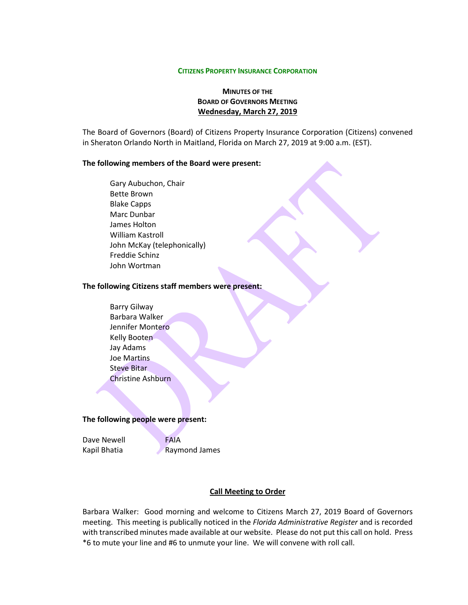#### **CITIZENS PROPERTY INSURANCE CORPORATION**

# **MINUTES OF THE BOARD OF GOVERNORS MEETING Wednesday, March 27, 2019**

The Board of Governors (Board) of Citizens Property Insurance Corporation (Citizens) convened in Sheraton Orlando North in Maitland, Florida on March 27, 2019 at 9:00 a.m. (EST).

#### **The following members of the Board were present:**

Gary Aubuchon, Chair Bette Brown Blake Capps Marc Dunbar James Holton William Kastroll John McKay (telephonically) Freddie Schinz John Wortman

#### **The following Citizens staff members were present:**

Barry Gilway Barbara Walker Jennifer Montero Kelly Booten Jay Adams Joe Martins Steve Bitar Christine Ashburn

#### **The following people were present:**

Dave Newell **FAIA** Kapil Bhatia **Raymond James** 

### **Call Meeting to Order**

Barbara Walker: Good morning and welcome to Citizens March 27, 2019 Board of Governors meeting. This meeting is publically noticed in the *Florida Administrative Register* and is recorded with transcribed minutes made available at our website. Please do not put this call on hold. Press \*6 to mute your line and #6 to unmute your line. We will convene with roll call.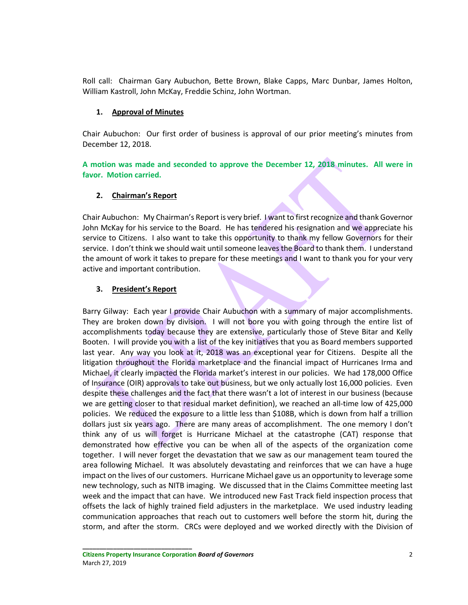Roll call: Chairman Gary Aubuchon, Bette Brown, Blake Capps, Marc Dunbar, James Holton, William Kastroll, John McKay, Freddie Schinz, John Wortman.

# **1. Approval of Minutes**

Chair Aubuchon: Our first order of business is approval of our prior meeting's minutes from December 12, 2018.

**A motion was made and seconded to approve the December 12, 2018 minutes. All were in favor. Motion carried.** 

# **2. Chairman's Report**

Chair Aubuchon: My Chairman's Report is very brief. I want to first recognize and thank Governor John McKay for his service to the Board. He has tendered his resignation and we appreciate his service to Citizens. I also want to take this opportunity to thank my fellow Governors for their service. I don't think we should wait until someone leaves the Board to thank them. I understand the amount of work it takes to prepare for these meetings and I want to thank you for your very active and important contribution.

# **3. President's Report**

Barry Gilway: Each year I provide Chair Aubuchon with a summary of major accomplishments. They are broken down by division. I will not bore you with going through the entire list of accomplishments today because they are extensive, particularly those of Steve Bitar and Kelly Booten. I will provide you with a list of the key initiatives that you as Board members supported last year. Any way you look at it, 2018 was an exceptional year for Citizens. Despite all the litigation throughout the Florida marketplace and the financial impact of Hurricanes Irma and Michael, it clearly impacted the Florida market's interest in our policies. We had 178,000 Office of Insurance (OIR) approvals to take out business, but we only actually lost 16,000 policies. Even despite these challenges and the fact that there wasn't a lot of interest in our business (because we are getting closer to that residual market definition), we reached an all-time low of 425,000 policies. We reduced the exposure to a little less than \$108B, which is down from half a trillion dollars just six years ago. There are many areas of accomplishment. The one memory I don't think any of us will forget is Hurricane Michael at the catastrophe (CAT) response that demonstrated how effective you can be when all of the aspects of the organization come together. I will never forget the devastation that we saw as our management team toured the area following Michael. It was absolutely devastating and reinforces that we can have a huge impact on the lives of our customers. Hurricane Michael gave us an opportunity to leverage some new technology, such as NITB imaging. We discussed that in the Claims Committee meeting last week and the impact that can have. We introduced new Fast Track field inspection process that offsets the lack of highly trained field adjusters in the marketplace. We used industry leading communication approaches that reach out to customers well before the storm hit, during the storm, and after the storm. CRCs were deployed and we worked directly with the Division of

**Citizens Property Insurance Corporation** *Board of Governors* 2 March 27, 2019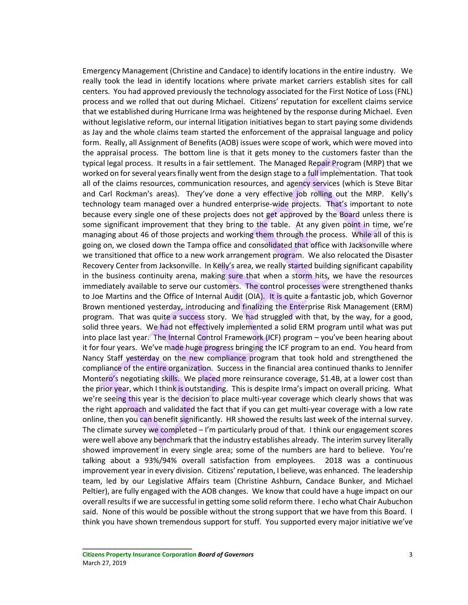Emergency Management (Christine and Candace) to identify locations in the entire industry. We really took the lead in identify locations where private market carriers establish sites for call centers. You had approved previously the technology associated for the First Notice of Loss (FNL) process and we rolled that out during Michael. Citizens' reputation for excellent claims service that we established during Hurricane Irma was heightened by the response during Michael. Even without legislative reform, our internal litigation initiatives began to start paying some dividends as Jay and the whole claims team started the enforcement of the appraisal language and policy form. Really, all Assignment of Benefits (AOB) issues were scope of work, which were moved into the appraisal process. The bottom line is that it gets money to the customers faster than the typical legal process. It results in a fair settlement. The Managed Repair Program (MRP) that we worked on for several years finally went from the design stage to a full implementation. That took all of the claims resources, communication resources, and agency services (which is Steve Bitar and Carl Rockman's areas). They've done a very effective job rolling out the MRP. Kelly's technology team managed over a hundred enterprise-wide projects. That's important to note because every single one of these projects does not get approved by the Board unless there is some significant improvement that they bring to the table. At any given point in time, we're managing about 46 of those projects and working them through the process. While all of this is going on, we closed down the Tampa office and consolidated that office with Jacksonville where we transitioned that office to a new work arrangement program. We also relocated the Disaster Recovery Center from Jacksonville. In Kelly's area, we really started building significant capability in the business continuity arena, making sure that when a storm hits, we have the resources immediately available to serve our customers. The control processes were strengthened thanks to Joe Martins and the Office of Internal Audit (OIA). It is quite a fantastic job, which Governor Brown mentioned yesterday, introducing and finalizing the Enterprise Risk Management (ERM) program. That was quite a success story. We had struggled with that, by the way, for a good, solid three years. We had not effectively implemented a solid ERM program until what was put into place last year. The Internal Control Framework (ICF) program – you've been hearing about it for four years. We've made huge progress bringing the ICF program to an end. You heard from Nancy Staff yesterday on the new compliance program that took hold and strengthened the compliance of the entire organization. Success in the financial area continued thanks to Jennifer Montero's negotiating skills. We placed more reinsurance coverage, \$1.4B, at a lower cost than the prior year, which I think is outstanding. This is despite Irma's impact on overall pricing. What we're seeing this year is the decision to place multi-year coverage which clearly shows that was the right approach and validated the fact that if you can get multi-year coverage with a low rate online, then you can benefit significantly. HR showed the results last week of the internal survey. The climate survey we completed – I'm particularly proud of that. I think our engagement scores were well above any benchmark that the industry establishes already. The interim survey literally showed improvement in every single area; some of the numbers are hard to believe. You're talking about a 93%/94% overall satisfaction from employees. 2018 was a continuous improvement year in every division. Citizens' reputation, I believe, was enhanced. The leadership team, led by our Legislative Affairs team (Christine Ashburn, Candace Bunker, and Michael Peltier), are fully engaged with the AOB changes. We know that could have a huge impact on our overall results if we are successful in getting some solid reform there. I echo what Chair Aubuchon said. None of this would be possible without the strong support that we have from this Board. I think you have shown tremendous support for stuff. You supported every major initiative we've

**Citizens Property Insurance Corporation** *Board of Governors* 3 March 27, 2019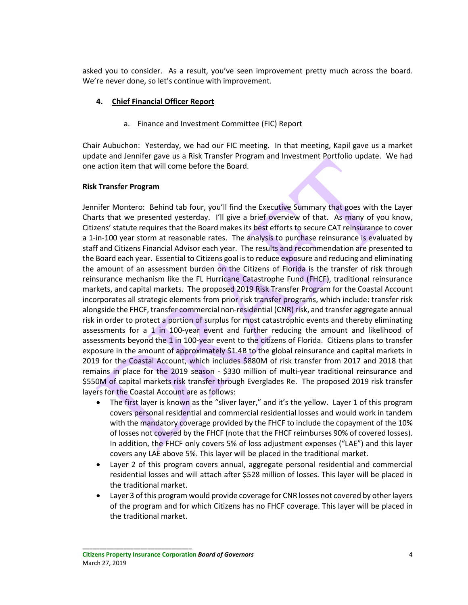asked you to consider. As a result, you've seen improvement pretty much across the board. We're never done, so let's continue with improvement.

## **4. Chief Financial Officer Report**

a. Finance and Investment Committee (FIC) Report

Chair Aubuchon: Yesterday, we had our FIC meeting. In that meeting, Kapil gave us a market update and Jennifer gave us a Risk Transfer Program and Investment Portfolio update. We had one action item that will come before the Board.

# **Risk Transfer Program**

Jennifer Montero: Behind tab four, you'll find the Executive Summary that goes with the Layer Charts that we presented yesterday. I'll give a brief overview of that. As many of you know, Citizens' statute requires that the Board makes its best efforts to secure CAT reinsurance to cover a 1-in-100 year storm at reasonable rates. The analysis to purchase reinsurance is evaluated by staff and Citizens Financial Advisor each year. The results and recommendation are presented to the Board each year. Essential to Citizens goal is to reduce exposure and reducing and eliminating the amount of an assessment burden on the Citizens of Florida is the transfer of risk through reinsurance mechanism like the FL Hurricane Catastrophe Fund (FHCF), traditional reinsurance markets, and capital markets. The proposed 2019 Risk Transfer Program for the Coastal Account incorporates all strategic elements from prior risk transfer programs, which include: transfer risk alongside the FHCF, transfer commercial non-residential (CNR) risk, and transfer aggregate annual risk in order to protect a portion of surplus for most catastrophic events and thereby eliminating assessments for a 1 in 100-year event and further reducing the amount and likelihood of assessments beyond the 1 in 100-year event to the citizens of Florida. Citizens plans to transfer exposure in the amount of approximately \$1.4B to the global reinsurance and capital markets in 2019 for the Coastal Account, which includes \$880M of risk transfer from 2017 and 2018 that remains in place for the 2019 season - \$330 million of multi-year traditional reinsurance and \$550M of capital markets risk transfer through Everglades Re. The proposed 2019 risk transfer layers for the Coastal Account are as follows:

- The first layer is known as the "sliver layer," and it's the yellow. Layer 1 of this program covers personal residential and commercial residential losses and would work in tandem with the mandatory coverage provided by the FHCF to include the copayment of the 10% of losses not covered by the FHCF (note that the FHCF reimburses 90% of covered losses). In addition, the FHCF only covers 5% of loss adjustment expenses ("LAE") and this layer covers any LAE above 5%. This layer will be placed in the traditional market.
- Layer 2 of this program covers annual, aggregate personal residential and commercial residential losses and will attach after \$528 million of losses. This layer will be placed in the traditional market.
- Layer 3 of this program would provide coverage for CNR losses not covered by other layers of the program and for which Citizens has no FHCF coverage. This layer will be placed in the traditional market.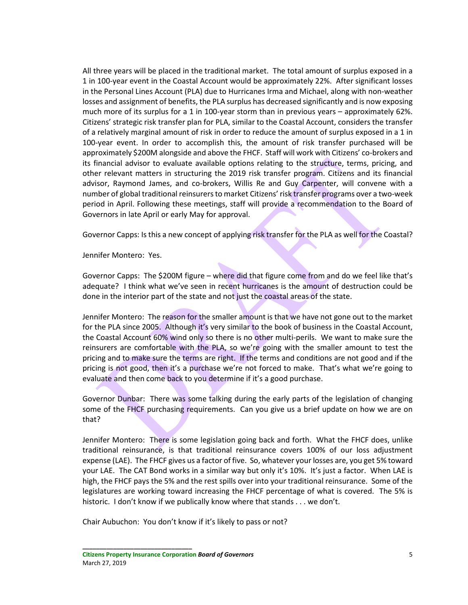All three years will be placed in the traditional market. The total amount of surplus exposed in a 1 in 100-year event in the Coastal Account would be approximately 22%. After significant losses in the Personal Lines Account (PLA) due to Hurricanes Irma and Michael, along with non-weather losses and assignment of benefits, the PLA surplus has decreased significantly and is now exposing much more of its surplus for a 1 in 100-year storm than in previous years – approximately 62%. Citizens' strategic risk transfer plan for PLA, similar to the Coastal Account, considers the transfer of a relatively marginal amount of risk in order to reduce the amount of surplus exposed in a 1 in 100-year event. In order to accomplish this, the amount of risk transfer purchased will be approximately \$200M alongside and above the FHCF. Staff will work with Citizens' co-brokers and its financial advisor to evaluate available options relating to the structure, terms, pricing, and other relevant matters in structuring the 2019 risk transfer program. Citizens and its financial advisor, Raymond James, and co-brokers, Willis Re and Guy Carpenter, will convene with a number of global traditional reinsurers to market Citizens' risk transfer programs over a two-week period in April. Following these meetings, staff will provide a recommendation to the Board of Governors in late April or early May for approval.

Governor Capps: Is this a new concept of applying risk transfer for the PLA as well for the Coastal?

Jennifer Montero: Yes.

Governor Capps: The \$200M figure – where did that figure come from and do we feel like that's adequate? I think what we've seen in recent hurricanes is the amount of destruction could be done in the interior part of the state and not just the coastal areas of the state.

Jennifer Montero: The reason for the smaller amount is that we have not gone out to the market for the PLA since 2005. Although it's very similar to the book of business in the Coastal Account, the Coastal Account 60% wind only so there is no other multi-perils. We want to make sure the reinsurers are comfortable with the PLA, so we're going with the smaller amount to test the pricing and to make sure the terms are right. If the terms and conditions are not good and if the pricing is not good, then it's a purchase we're not forced to make. That's what we're going to evaluate and then come back to you determine if it's a good purchase.

Governor Dunbar: There was some talking during the early parts of the legislation of changing some of the FHCF purchasing requirements. Can you give us a brief update on how we are on that?

Jennifer Montero: There is some legislation going back and forth. What the FHCF does, unlike traditional reinsurance, is that traditional reinsurance covers 100% of our loss adjustment expense (LAE). The FHCF gives us a factor of five. So, whatever your losses are, you get 5% toward your LAE. The CAT Bond works in a similar way but only it's 10%. It's just a factor. When LAE is high, the FHCF pays the 5% and the rest spills over into your traditional reinsurance. Some of the legislatures are working toward increasing the FHCF percentage of what is covered. The 5% is historic. I don't know if we publically know where that stands . . . we don't.

Chair Aubuchon: You don't know if it's likely to pass or not?

**Citizens Property Insurance Corporation** *Board of Governors* 5 March 27, 2019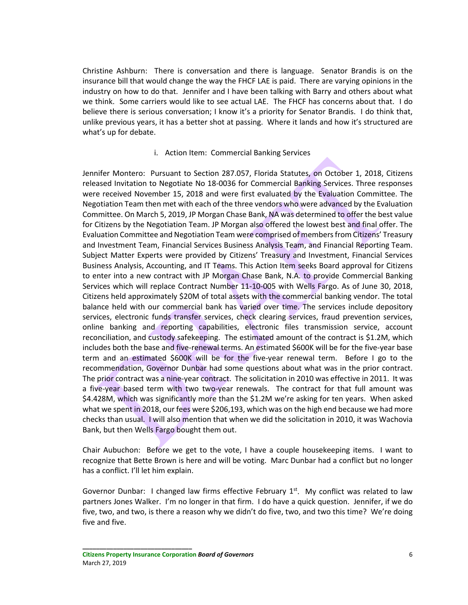Christine Ashburn: There is conversation and there is language. Senator Brandis is on the insurance bill that would change the way the FHCF LAE is paid. There are varying opinions in the industry on how to do that. Jennifer and I have been talking with Barry and others about what we think. Some carriers would like to see actual LAE. The FHCF has concerns about that. I do believe there is serious conversation; I know it's a priority for Senator Brandis. I do think that, unlike previous years, it has a better shot at passing. Where it lands and how it's structured are what's up for debate.

#### i. Action Item: Commercial Banking Services

Jennifer Montero: Pursuant to Section 287.057, Florida Statutes, on October 1, 2018, Citizens released Invitation to Negotiate No 18-0036 for Commercial Banking Services. Three responses were received November 15, 2018 and were first evaluated by the Evaluation Committee. The Negotiation Team then met with each of the three vendors who were advanced by the Evaluation Committee. On March 5, 2019, JP Morgan Chase Bank, NA was determined to offer the best value for Citizens by the Negotiation Team. JP Morgan also offered the lowest best and final offer. The Evaluation Committee and Negotiation Team were comprised of members from Citizens' Treasury and Investment Team, Financial Services Business Analysis Team, and Financial Reporting Team. Subject Matter Experts were provided by Citizens' Treasury and Investment, Financial Services Business Analysis, Accounting, and IT Teams. This Action Item seeks Board approval for Citizens to enter into a new contract with JP Morgan Chase Bank, N.A. to provide Commercial Banking Services which will replace Contract Number 11-10-005 with Wells Fargo. As of June 30, 2018, Citizens held approximately \$20M of total assets with the commercial banking vendor. The total balance held with our commercial bank has varied over time. The services include depository services, electronic funds transfer services, check clearing services, fraud prevention services, online banking and reporting capabilities, electronic files transmission service, account reconciliation, and custody safekeeping. The estimated amount of the contract is \$1.2M, which includes both the base and five-renewal terms. An estimated \$600K will be for the five-year base term and an estimated \$600K will be for the five-year renewal term. Before I go to the recommendation, Governor Dunbar had some questions about what was in the prior contract. The prior contract was a nine-year contract. The solicitation in 2010 was effective in 2011. It was a five-year based term with two two-year renewals. The contract for that full amount was \$4.428M, which was significantly more than the \$1.2M we're asking for ten years. When asked what we spent in 2018, our fees were \$206,193, which was on the high end because we had more checks than usual. I will also mention that when we did the solicitation in 2010, it was Wachovia Bank, but then Wells Fargo bought them out.

Chair Aubuchon: Before we get to the vote, I have a couple housekeeping items. I want to recognize that Bette Brown is here and will be voting. Marc Dunbar had a conflict but no longer has a conflict. I'll let him explain.

Governor Dunbar: I changed law firms effective February  $1<sup>st</sup>$ . My conflict was related to law partners Jones Walker. I'm no longer in that firm. I do have a quick question. Jennifer, if we do five, two, and two, is there a reason why we didn't do five, two, and two this time? We're doing five and five.

**Citizens Property Insurance Corporation** *Board of Governors* 6 March 27, 2019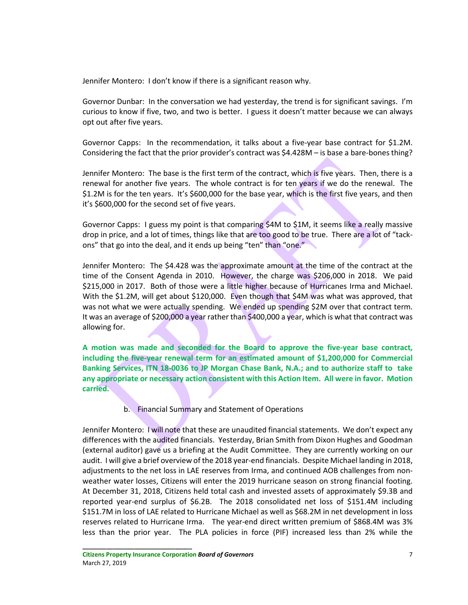Jennifer Montero: I don't know if there is a significant reason why.

Governor Dunbar: In the conversation we had yesterday, the trend is for significant savings. I'm curious to know if five, two, and two is better. I guess it doesn't matter because we can always opt out after five years.

Governor Capps: In the recommendation, it talks about a five-year base contract for \$1.2M. Considering the fact that the prior provider's contract was \$4.428M – is base a bare-bones thing?

Jennifer Montero: The base is the first term of the contract, which is five years. Then, there is a renewal for another five years. The whole contract is for ten years if we do the renewal. The \$1.2M is for the ten years. It's \$600,000 for the base year, which is the first five years, and then it's \$600,000 for the second set of five years.

Governor Capps: I guess my point is that comparing \$4M to \$1M, it seems like a really massive drop in price, and a lot of times, things like that are too good to be true. There are a lot of "tackons" that go into the deal, and it ends up being "ten" than "one."

Jennifer Montero: The \$4.428 was the approximate amount at the time of the contract at the time of the Consent Agenda in 2010. However, the charge was \$206,000 in 2018. We paid \$215,000 in 2017. Both of those were a little higher because of Hurricanes Irma and Michael. With the \$1.2M, will get about \$120,000. Even though that \$4M was what was approved, that was not what we were actually spending. We ended up spending \$2M over that contract term. It was an average of \$200,000 a year rather than \$400,000 a year, which is what that contract was allowing for.

**A motion was made and seconded for the Board to approve the five-year base contract, including the five-year renewal term for an estimated amount of \$1,200,000 for Commercial Banking Services, ITN 18-0036 to JP Morgan Chase Bank, N.A.; and to authorize staff to take any appropriate or necessary action consistent with this Action Item. All were in favor. Motion carried.** 

b. Financial Summary and Statement of Operations

Jennifer Montero: I will note that these are unaudited financial statements. We don't expect any differences with the audited financials. Yesterday, Brian Smith from Dixon Hughes and Goodman (external auditor) gave us a briefing at the Audit Committee. They are currently working on our audit. I will give a brief overview of the 2018 year-end financials. Despite Michael landing in 2018, adjustments to the net loss in LAE reserves from Irma, and continued AOB challenges from nonweather water losses, Citizens will enter the 2019 hurricane season on strong financial footing. At December 31, 2018, Citizens held total cash and invested assets of approximately \$9.3B and reported year-end surplus of \$6.2B. The 2018 consolidated net loss of \$151.4M including \$151.7M in loss of LAE related to Hurricane Michael as well as \$68.2M in net development in loss reserves related to Hurricane Irma. The year-end direct written premium of \$868.4M was 3% less than the prior year. The PLA policies in force (PIF) increased less than 2% while the

**Citizens Property Insurance Corporation** *Board of Governors* 7 March 27, 2019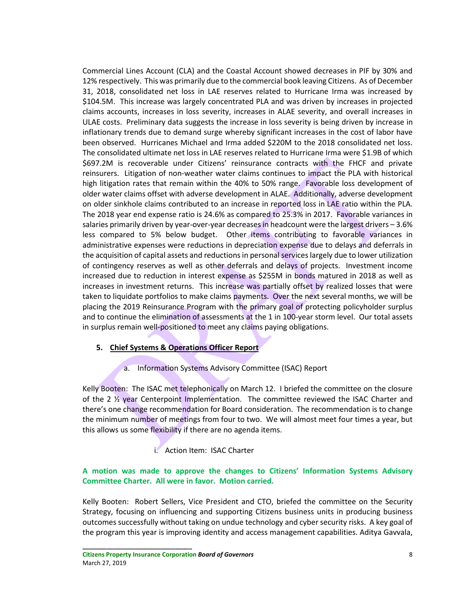Commercial Lines Account (CLA) and the Coastal Account showed decreases in PIF by 30% and 12% respectively. This was primarily due to the commercial book leaving Citizens. As of December 31, 2018, consolidated net loss in LAE reserves related to Hurricane Irma was increased by \$104.5M. This increase was largely concentrated PLA and was driven by increases in projected claims accounts, increases in loss severity, increases in ALAE severity, and overall increases in ULAE costs. Preliminary data suggests the increase in loss severity is being driven by increase in inflationary trends due to demand surge whereby significant increases in the cost of labor have been observed. Hurricanes Michael and Irma added \$220M to the 2018 consolidated net loss. The consolidated ultimate net loss in LAE reserves related to Hurricane Irma were \$1.9B of which \$697.2M is recoverable under Citizens' reinsurance contracts with the FHCF and private reinsurers. Litigation of non-weather water claims continues to impact the PLA with historical high litigation rates that remain within the 40% to 50% range. Favorable loss development of older water claims offset with adverse development in ALAE. Additionally, adverse development on older sinkhole claims contributed to an increase in reported loss in LAE ratio within the PLA. The 2018 year end expense ratio is 24.6% as compared to 25.3% in 2017. Favorable variances in salaries primarily driven by year-over-year decreases in headcount were the largest drivers – 3.6% less compared to 5% below budget. Other items contributing to favorable variances in administrative expenses were reductions in depreciation expense due to delays and deferrals in the acquisition of capital assets and reductions in personal services largely due to lower utilization of contingency reserves as well as other deferrals and delays of projects. Investment income increased due to reduction in interest expense as \$255M in bonds matured in 2018 as well as increases in investment returns. This increase was partially offset by realized losses that were taken to liquidate portfolios to make claims payments. Over the next several months, we will be placing the 2019 Reinsurance Program with the primary goal of protecting policyholder surplus and to continue the elimination of assessments at the 1 in 100-year storm level. Our total assets in surplus remain well-positioned to meet any claims paying obligations.

## **5. Chief Systems & Operations Officer Report**

a. Information Systems Advisory Committee (ISAC) Report

Kelly Booten: The ISAC met telephonically on March 12. I briefed the committee on the closure of the 2 ½ year Centerpoint Implementation. The committee reviewed the ISAC Charter and there's one change recommendation for Board consideration. The recommendation is to change the minimum number of meetings from four to two. We will almost meet four times a year, but this allows us some flexibility if there are no agenda items.

## i. Action Item: ISAC Charter

# **A motion was made to approve the changes to Citizens' Information Systems Advisory Committee Charter. All were in favor. Motion carried.**

Kelly Booten: Robert Sellers, Vice President and CTO, briefed the committee on the Security Strategy, focusing on influencing and supporting Citizens business units in producing business outcomes successfully without taking on undue technology and cyber security risks. A key goal of the program this year is improving identity and access management capabilities. Aditya Gavvala,

**Citizens Property Insurance Corporation** *Board of Governors* 8 March 27, 2019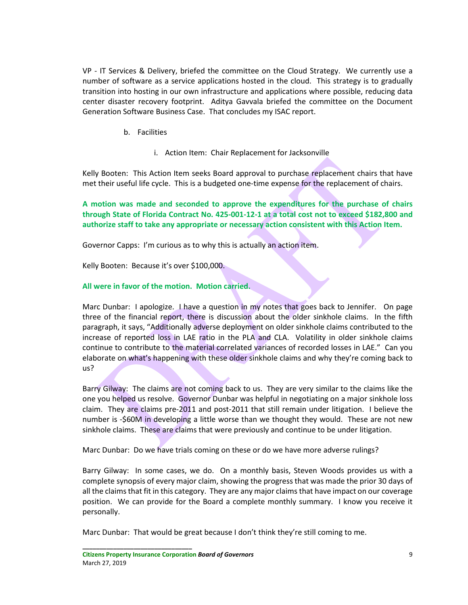VP - IT Services & Delivery, briefed the committee on the Cloud Strategy. We currently use a number of software as a service applications hosted in the cloud. This strategy is to gradually transition into hosting in our own infrastructure and applications where possible, reducing data center disaster recovery footprint. Aditya Gavvala briefed the committee on the Document Generation Software Business Case. That concludes my ISAC report.

- b. Facilities
	- i. Action Item: Chair Replacement for Jacksonville

Kelly Booten: This Action Item seeks Board approval to purchase replacement chairs that have met their useful life cycle. This is a budgeted one-time expense for the replacement of chairs.

**A motion was made and seconded to approve the expenditures for the purchase of chairs through State of Florida Contract No. 425-001-12-1 at a total cost not to exceed \$182,800 and authorize staff to take any appropriate or necessary action consistent with this Action Item.**

Governor Capps: I'm curious as to why this is actually an action item.

Kelly Booten: Because it's over \$100,000.

# **All were in favor of the motion. Motion carried.**

Marc Dunbar: I apologize. I have a question in my notes that goes back to Jennifer. On page three of the financial report, there is discussion about the older sinkhole claims. In the fifth paragraph, it says, "Additionally adverse deployment on older sinkhole claims contributed to the increase of reported loss in LAE ratio in the PLA and CLA. Volatility in older sinkhole claims continue to contribute to the material correlated variances of recorded losses in LAE." Can you elaborate on what's happening with these older sinkhole claims and why they're coming back to us?

Barry Gilway: The claims are not coming back to us. They are very similar to the claims like the one you helped us resolve. Governor Dunbar was helpful in negotiating on a major sinkhole loss claim. They are claims pre-2011 and post-2011 that still remain under litigation. I believe the number is -\$60M in developing a little worse than we thought they would. These are not new sinkhole claims. These are claims that were previously and continue to be under litigation.

Marc Dunbar: Do we have trials coming on these or do we have more adverse rulings?

Barry Gilway: In some cases, we do. On a monthly basis, Steven Woods provides us with a complete synopsis of every major claim, showing the progress that was made the prior 30 days of all the claims that fit in this category. They are any major claims that have impact on our coverage position. We can provide for the Board a complete monthly summary. I know you receive it personally.

Marc Dunbar: That would be great because I don't think they're still coming to me.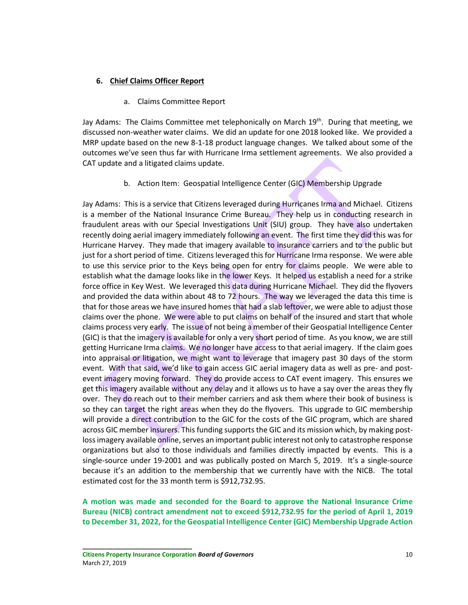## **6. Chief Claims Officer Report**

a. Claims Committee Report

Jay Adams: The Claims Committee met telephonically on March 19<sup>th</sup>. During that meeting, we discussed non-weather water claims. We did an update for one 2018 looked like. We provided a MRP update based on the new 8-1-18 product language changes. We talked about some of the outcomes we've seen thus far with Hurricane Irma settlement agreements. We also provided a CAT update and a litigated claims update.

b. Action Item: Geospatial Intelligence Center (GIC) Membership Upgrade

Jay Adams: This is a service that Citizens leveraged during Hurricanes Irma and Michael. Citizens is a member of the National Insurance Crime Bureau. They help us in conducting research in fraudulent areas with our Special Investigations Unit (SIU) group. They have also undertaken recently doing aerial imagery immediately following an event. The first time they did this was for Hurricane Harvey. They made that imagery available to insurance carriers and to the public but just for a short period of time. Citizens leveraged this for Hurricane Irma response. We were able to use this service prior to the Keys being open for entry for claims people. We were able to establish what the damage looks like in the lower Keys. It helped us establish a need for a strike force office in Key West. We leveraged this data during Hurricane Michael. They did the flyovers and provided the data within about 48 to 72 hours. The way we leveraged the data this time is that for those areas we have insured homes that had a slab leftover, we were able to adjust those claims over the phone. We were able to put claims on behalf of the insured and start that whole claims process very early. The issue of not being a member of their Geospatial Intelligence Center (GIC) is that the imagery is available for only a very short period of time. As you know, we are still getting Hurricane Irma claims. We no longer have access to that aerial imagery. If the claim goes into appraisal or litigation, we might want to leverage that imagery past 30 days of the storm event. With that said, we'd like to gain access GIC aerial imagery data as well as pre- and postevent imagery moving forward. They do provide access to CAT event imagery. This ensures we get this imagery available without any delay and it allows us to have a say over the areas they fly over. They do reach out to their member carriers and ask them where their book of business is so they can target the right areas when they do the flyovers. This upgrade to GIC membership will provide a direct contribution to the GIC for the costs of the GIC program, which are shared across GIC member insurers. This funding supports the GIC and its mission which, by making postloss imagery available online, serves an important public interest not only to catastrophe response organizations but also to those individuals and families directly impacted by events. This is a single-source under 19-2001 and was publically posted on March 5, 2019. It's a single-source because it's an addition to the membership that we currently have with the NICB. The total estimated cost for the 33 month term is \$912,732.95.

**A motion was made and seconded for the Board to approve the National Insurance Crime Bureau (NICB) contract amendment not to exceed \$912,732.95 for the period of April 1, 2019 to December 31, 2022, for the Geospatial Intelligence Center (GIC) Membership Upgrade Action**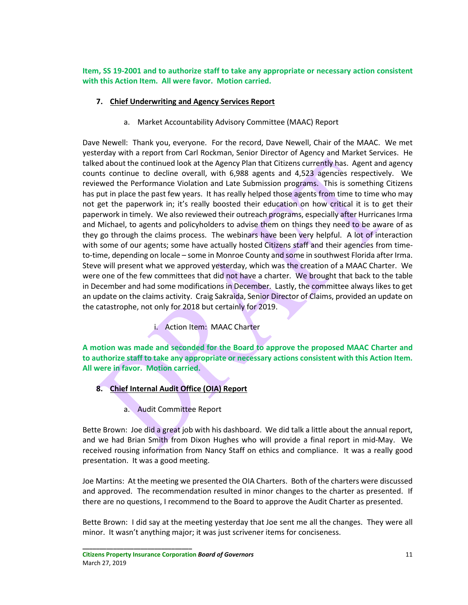**Item, SS 19-2001 and to authorize staff to take any appropriate or necessary action consistent with this Action Item. All were favor. Motion carried.** 

# **7. Chief Underwriting and Agency Services Report**

a. Market Accountability Advisory Committee (MAAC) Report

Dave Newell: Thank you, everyone. For the record, Dave Newell, Chair of the MAAC. We met yesterday with a report from Carl Rockman, Senior Director of Agency and Market Services. He talked about the continued look at the Agency Plan that Citizens currently has. Agent and agency counts continue to decline overall, with 6,988 agents and 4,523 agencies respectively. We reviewed the Performance Violation and Late Submission programs. This is something Citizens has put in place the past few years. It has really helped those agents from time to time who may not get the paperwork in; it's really boosted their education on how critical it is to get their paperwork in timely. We also reviewed their outreach programs, especially after Hurricanes Irma and Michael, to agents and policyholders to advise them on things they need to be aware of as they go through the claims process. The webinars have been very helpful. A lot of interaction with some of our agents; some have actually hosted Citizens staff and their agencies from timeto-time, depending on locale – some in Monroe County and some in southwest Florida after Irma. Steve will present what we approved yesterday, which was the creation of a MAAC Charter. We were one of the few committees that did not have a charter. We brought that back to the table in December and had some modifications in December. Lastly, the committee always likes to get an update on the claims activity. Craig Sakraida, Senior Director of Claims, provided an update on the catastrophe, not only for 2018 but certainly for 2019.

i. Action Item: MAAC Charter

**A motion was made and seconded for the Board to approve the proposed MAAC Charter and to authorize staff to take any appropriate or necessary actions consistent with this Action Item. All were in favor. Motion carried.** 

- **8. Chief Internal Audit Office (OIA) Report** 
	- a. Audit Committee Report

Bette Brown: Joe did a great job with his dashboard. We did talk a little about the annual report, and we had Brian Smith from Dixon Hughes who will provide a final report in mid-May. We received rousing information from Nancy Staff on ethics and compliance. It was a really good presentation. It was a good meeting.

Joe Martins: At the meeting we presented the OIA Charters. Both of the charters were discussed and approved. The recommendation resulted in minor changes to the charter as presented. If there are no questions, I recommend to the Board to approve the Audit Charter as presented.

Bette Brown: I did say at the meeting yesterday that Joe sent me all the changes. They were all minor. It wasn't anything major; it was just scrivener items for conciseness.

**Citizens Property Insurance Corporation** *Board of Governors* 11 March 27, 2019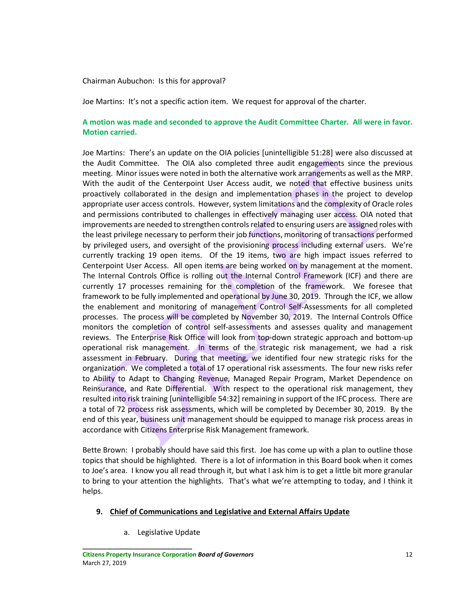#### Chairman Aubuchon: Is this for approval?

Joe Martins: It's not a specific action item. We request for approval of the charter.

# **A motion was made and seconded to approve the Audit Committee Charter. All were in favor. Motion carried.**

Joe Martins: There's an update on the OIA policies [unintelligible 51:28] were also discussed at the Audit Committee. The OIA also completed three audit engagements since the previous meeting. Minor issues were noted in both the alternative work arrangements as well as the MRP. With the audit of the Centerpoint User Access audit, we noted that effective business units proactively collaborated in the design and implementation phases in the project to develop appropriate user access controls. However, system limitations and the complexity of Oracle roles and permissions contributed to challenges in effectively managing user access. OIA noted that improvements are needed to strengthen controls related to ensuring users are assigned roles with the least privilege necessary to perform their job functions, monitoring of transactions performed by privileged users, and oversight of the provisioning process including external users. We're currently tracking 19 open items. Of the 19 items, two are high impact issues referred to Centerpoint User Access. All open items are being worked on by management at the moment. The Internal Controls Office is rolling out the Internal Control Framework (ICF) and there are currently 17 processes remaining for the completion of the framework. We foresee that framework to be fully implemented and operational by June 30, 2019. Through the ICF, we allow the enablement and monitoring of management Control Self-Assessments for all completed processes. The process will be completed by November 30, 2019. The Internal Controls Office monitors the completion of control self-assessments and assesses quality and management reviews. The Enterprise Risk Office will look from top-down strategic approach and bottom-up operational risk management. In terms of the strategic risk management, we had a risk assessment in February. During that meeting, we identified four new strategic risks for the organization. We completed a total of 17 operational risk assessments. The four new risks refer to Ability to Adapt to Changing Revenue, Managed Repair Program, Market Dependence on Reinsurance, and Rate Differential. With respect to the operational risk management, they resulted into risk training [unintelligible 54:32] remaining in support of the IFC process. There are a total of 72 process risk assessments, which will be completed by December 30, 2019. By the end of this year, business unit management should be equipped to manage risk process areas in accordance with Citizens Enterprise Risk Management framework.

Bette Brown: I probably should have said this first. Joe has come up with a plan to outline those topics that should be highlighted. There is a lot of information in this Board book when it comes to Joe's area. I know you all read through it, but what I ask him is to get a little bit more granular to bring to your attention the highlights. That's what we're attempting to today, and I think it helps.

## **9. Chief of Communications and Legislative and External Affairs Update**

a. Legislative Update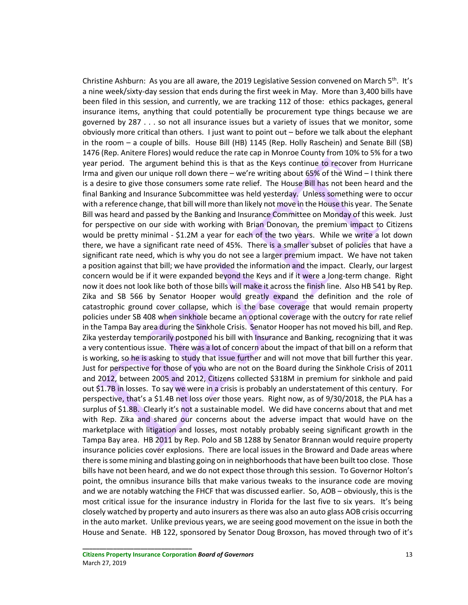Christine Ashburn: As you are all aware, the 2019 Legislative Session convened on March 5<sup>th</sup>. It's a nine week/sixty-day session that ends during the first week in May. More than 3,400 bills have been filed in this session, and currently, we are tracking 112 of those: ethics packages, general insurance items, anything that could potentially be procurement type things because we are governed by 287 . . . so not all insurance issues but a variety of issues that we monitor, some obviously more critical than others. I just want to point out – before we talk about the elephant in the room – a couple of bills. House Bill (HB) 1145 (Rep. Holly Raschein) and Senate Bill (SB) 1476 (Rep. Anitere Flores) would reduce the rate cap in Monroe County from 10% to 5% for a two year period. The argument behind this is that as the Keys continue to recover from Hurricane Irma and given our unique roll down there – we're writing about 65% of the Wind – I think there is a desire to give those consumers some rate relief. The House Bill has not been heard and the final Banking and Insurance Subcommittee was held yesterday. Unless something were to occur with a reference change, that bill will more than likely not move in the House this year. The Senate Bill was heard and passed by the Banking and Insurance Committee on Monday of this week. Just for perspective on our side with working with Brian Donovan, the premium impact to Citizens would be pretty minimal - \$1.2M a year for each of the two years. While we write a lot down there, we have a significant rate need of 45%. There is a smaller subset of policies that have a significant rate need, which is why you do not see a larger premium impact. We have not taken a position against that bill; we have provided the information and the impact. Clearly, our largest concern would be if it were expanded beyond the Keys and if it were a long-term change. Right now it does not look like both of those bills will make it across the finish line. Also HB 541 by Rep. Zika and SB 566 by Senator Hooper would greatly expand the definition and the role of catastrophic ground cover collapse, which is the base coverage that would remain property policies under SB 408 when sinkhole became an optional coverage with the outcry for rate relief in the Tampa Bay area during the Sinkhole Crisis. Senator Hooper has not moved his bill, and Rep. Zika yesterday temporarily postponed his bill with Insurance and Banking, recognizing that it was a very contentious issue. There was a lot of concern about the impact of that bill on a reform that is working, so he is asking to study that issue further and will not move that bill further this year. Just for perspective for those of you who are not on the Board during the Sinkhole Crisis of 2011 and 2012, between 2005 and 2012, Citizens collected \$318M in premium for sinkhole and paid out \$1.7B in losses. To say we were in a crisis is probably an understatement of this century. For perspective, that's a \$1.4B net loss over those years. Right now, as of 9/30/2018, the PLA has a surplus of \$1.8B. Clearly it's not a sustainable model. We did have concerns about that and met with Rep. Zika and shared our concerns about the adverse impact that would have on the marketplace with litigation and losses, most notably probably seeing significant growth in the Tampa Bay area. HB 2011 by Rep. Polo and SB 1288 by Senator Brannan would require property insurance policies cover explosions. There are local issues in the Broward and Dade areas where there is some mining and blasting going on in neighborhoods that have been built too close. Those bills have not been heard, and we do not expect those through this session. To Governor Holton's point, the omnibus insurance bills that make various tweaks to the insurance code are moving and we are notably watching the FHCF that was discussed earlier. So, AOB – obviously, this is the most critical issue for the insurance industry in Florida for the last five to six years. It's being closely watched by property and auto insurers as there was also an auto glass AOB crisis occurring in the auto market. Unlike previous years, we are seeing good movement on the issue in both the House and Senate. HB 122, sponsored by Senator Doug Broxson, has moved through two of it's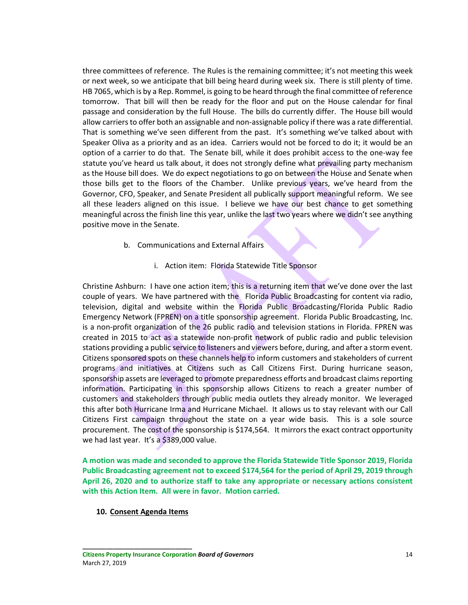three committees of reference. The Rules is the remaining committee; it's not meeting this week or next week, so we anticipate that bill being heard during week six. There is still plenty of time. HB 7065, which is by a Rep. Rommel, is going to be heard through the final committee of reference tomorrow. That bill will then be ready for the floor and put on the House calendar for final passage and consideration by the full House. The bills do currently differ. The House bill would allow carriers to offer both an assignable and non-assignable policy if there was a rate differential. That is something we've seen different from the past. It's something we've talked about with Speaker Oliva as a priority and as an idea. Carriers would not be forced to do it; it would be an option of a carrier to do that. The Senate bill, while it does prohibit access to the one-way fee statute you've heard us talk about, it does not strongly define what prevailing party mechanism as the House bill does. We do expect negotiations to go on between the House and Senate when those bills get to the floors of the Chamber. Unlike previous years, we've heard from the Governor, CFO, Speaker, and Senate President all publically support meaningful reform. We see all these leaders aligned on this issue. I believe we have our best chance to get something meaningful across the finish line this year, unlike the last two years where we didn't see anything positive move in the Senate.

- b. Communications and External Affairs
	- i. Action item: Florida Statewide Title Sponsor

Christine Ashburn: I have one action item; this is a returning item that we've done over the last couple of years. We have partnered with the Florida Public Broadcasting for content via radio, television, digital and website within the Florida Public Broadcasting/Florida Public Radio Emergency Network (FPREN) on a title sponsorship agreement. Florida Public Broadcasting, Inc. is a non-profit organization of the 26 public radio and television stations in Florida. FPREN was created in 2015 to act as a statewide non-profit network of public radio and public television stations providing a public service to listeners and viewers before, during, and after a storm event. Citizens sponsored spots on these channels help to inform customers and stakeholders of current programs and initiatives at Citizens such as Call Citizens First. During hurricane season, sponsorship assets are leveraged to promote preparedness efforts and broadcast claims reporting information. Participating in this sponsorship allows Citizens to reach a greater number of customers and stakeholders through public media outlets they already monitor. We leveraged this after both Hurricane Irma and Hurricane Michael. It allows us to stay relevant with our Call Citizens First campaign throughout the state on a year wide basis. This is a sole source procurement. The cost of the sponsorship is \$174,564. It mirrors the exact contract opportunity we had last year. It's a \$389,000 value.

**A motion was made and seconded to approve the Florida Statewide Title Sponsor 2019, Florida Public Broadcasting agreement not to exceed \$174,564 for the period of April 29, 2019 through April 26, 2020 and to authorize staff to take any appropriate or necessary actions consistent with this Action Item. All were in favor. Motion carried.** 

**10. Consent Agenda Items**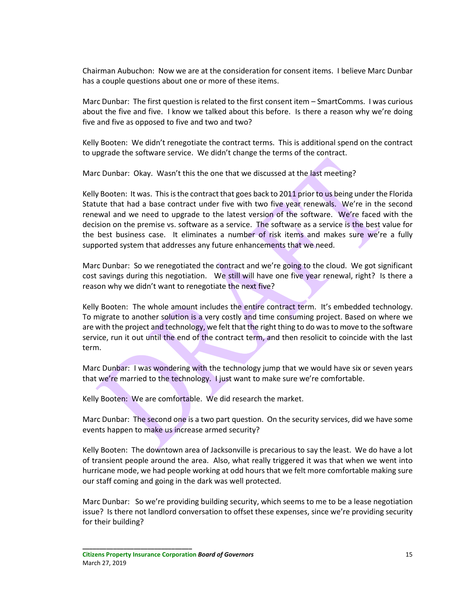Chairman Aubuchon: Now we are at the consideration for consent items. I believe Marc Dunbar has a couple questions about one or more of these items.

Marc Dunbar: The first question is related to the first consent item – SmartComms. I was curious about the five and five. I know we talked about this before. Is there a reason why we're doing five and five as opposed to five and two and two?

Kelly Booten: We didn't renegotiate the contract terms. This is additional spend on the contract to upgrade the software service. We didn't change the terms of the contract.

Marc Dunbar: Okay. Wasn't this the one that we discussed at the last meeting?

Kelly Booten: It was. This is the contract that goes back to 2011 prior to us being under the Florida Statute that had a base contract under five with two five year renewals. We're in the second renewal and we need to upgrade to the latest version of the software. We're faced with the decision on the premise vs. software as a service. The software as a service is the best value for the best business case. It eliminates a number of risk items and makes sure we're a fully supported system that addresses any future enhancements that we need.

Marc Dunbar: So we renegotiated the contract and we're going to the cloud. We got significant cost savings during this negotiation. We still will have one five year renewal, right? Is there a reason why we didn't want to renegotiate the next five?

Kelly Booten: The whole amount includes the entire contract term. It's embedded technology. To migrate to another solution is a very costly and time consuming project. Based on where we are with the project and technology, we felt that the right thing to do was to move to the software service, run it out until the end of the contract term, and then resolicit to coincide with the last term.

Marc Dunbar: I was wondering with the technology jump that we would have six or seven years that we're married to the technology. I just want to make sure we're comfortable.

Kelly Booten: We are comfortable. We did research the market.

Marc Dunbar: The second one is a two part question. On the security services, did we have some events happen to make us increase armed security?

Kelly Booten: The downtown area of Jacksonville is precarious to say the least. We do have a lot of transient people around the area. Also, what really triggered it was that when we went into hurricane mode, we had people working at odd hours that we felt more comfortable making sure our staff coming and going in the dark was well protected.

Marc Dunbar: So we're providing building security, which seems to me to be a lease negotiation issue? Is there not landlord conversation to offset these expenses, since we're providing security for their building?

**Citizens Property Insurance Corporation** *Board of Governors* 15 March 27, 2019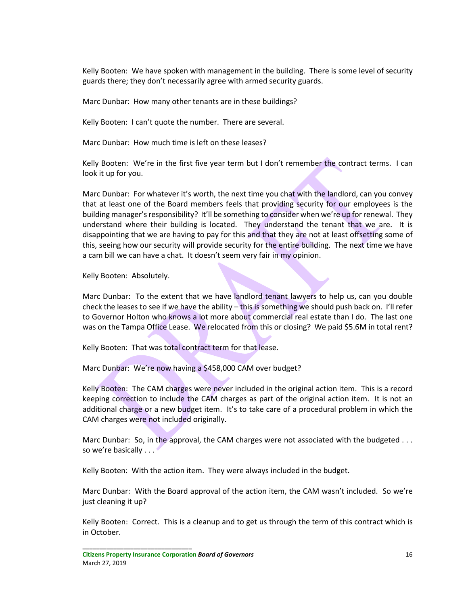Kelly Booten: We have spoken with management in the building. There is some level of security guards there; they don't necessarily agree with armed security guards.

Marc Dunbar: How many other tenants are in these buildings?

Kelly Booten: I can't quote the number. There are several.

Marc Dunbar: How much time is left on these leases?

Kelly Booten: We're in the first five year term but I don't remember the contract terms. I can look it up for you.

Marc Dunbar: For whatever it's worth, the next time you chat with the landlord, can you convey that at least one of the Board members feels that providing security for our employees is the building manager's responsibility? It'll be something to consider when we're up for renewal. They understand where their building is located. They understand the tenant that we are. It is disappointing that we are having to pay for this and that they are not at least offsetting some of this, seeing how our security will provide security for the entire building. The next time we have a cam bill we can have a chat. It doesn't seem very fair in my opinion.

Kelly Booten: Absolutely.

Marc Dunbar: To the extent that we have landlord tenant lawyers to help us, can you double check the leases to see if we have the ability – this is something we should push back on. I'll refer to Governor Holton who knows a lot more about commercial real estate than I do. The last one was on the Tampa Office Lease. We relocated from this or closing? We paid \$5.6M in total rent?

Kelly Booten: That was total contract term for that lease.

Marc Dunbar: We're now having a \$458,000 CAM over budget?

Kelly Booten: The CAM charges were never included in the original action item. This is a record keeping correction to include the CAM charges as part of the original action item. It is not an additional charge or a new budget item. It's to take care of a procedural problem in which the CAM charges were not included originally.

Marc Dunbar: So, in the approval, the CAM charges were not associated with the budgeted . . . so we're basically . . . .

Kelly Booten: With the action item. They were always included in the budget.

Marc Dunbar: With the Board approval of the action item, the CAM wasn't included. So we're just cleaning it up?

Kelly Booten: Correct. This is a cleanup and to get us through the term of this contract which is in October.

**Citizens Property Insurance Corporation** *Board of Governors* 16 March 27, 2019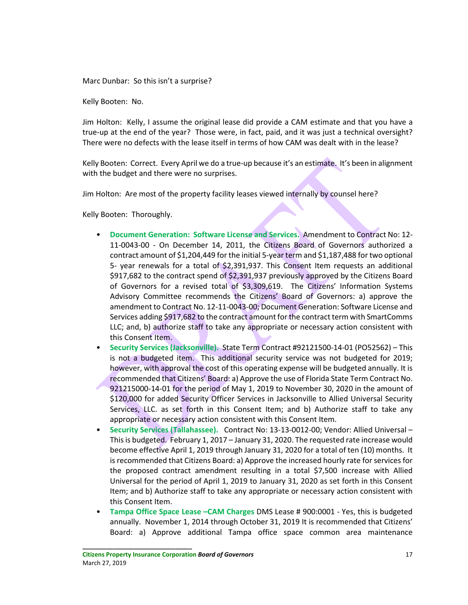Marc Dunbar: So this isn't a surprise?

Kelly Booten: No.

Jim Holton: Kelly, I assume the original lease did provide a CAM estimate and that you have a true-up at the end of the year? Those were, in fact, paid, and it was just a technical oversight? There were no defects with the lease itself in terms of how CAM was dealt with in the lease?

Kelly Booten: Correct. Every April we do a true-up because it's an estimate. It's been in alignment with the budget and there were no surprises.

Jim Holton: Are most of the property facility leases viewed internally by counsel here?

Kelly Booten: Thoroughly.

- **Document Generation: Software License and Services.** Amendment to Contract No: 12- 11-0043-00 - On December 14, 2011, the Citizens Board of Governors authorized a contract amount of \$1,204,449 for the initial 5-year term and \$1,187,488 for two optional 5- year renewals for a total of \$2,391,937. This Consent Item requests an additional \$917,682 to the contract spend of \$2,391,937 previously approved by the Citizens Board of Governors for a revised total of \$3,309,619. The Citizens' Information Systems Advisory Committee recommends the Citizens' Board of Governors: a) approve the amendment to Contract No. 12-11-0043-00; Document Generation: Software License and Services adding \$917,682 to the contract amount for the contract term with SmartComms LLC; and, b) authorize staff to take any appropriate or necessary action consistent with this Consent Item.
- **Security Services (Jacksonville).** State Term Contract #92121500-14-01 (PO52562) This is not a budgeted item. This additional security service was not budgeted for 2019; however, with approval the cost of this operating expense will be budgeted annually. It is recommended that Citizens' Board: a) Approve the use of Florida State Term Contract No. 921215000-14-01 for the period of May 1, 2019 to November 30, 2020 in the amount of \$120,000 for added Security Officer Services in Jacksonville to Allied Universal Security Services, LLC. as set forth in this Consent Item; and b) Authorize staff to take any appropriate or necessary action consistent with this Consent Item.
- **Security Services (Tallahassee).** Contract No: 13-13-0012-00; Vendor: Allied Universal This is budgeted. February 1, 2017 – January 31, 2020. The requested rate increase would become effective April 1, 2019 through January 31, 2020 for a total of ten (10) months. It is recommended that Citizens Board: a) Approve the increased hourly rate for services for the proposed contract amendment resulting in a total \$7,500 increase with Allied Universal for the period of April 1, 2019 to January 31, 2020 as set forth in this Consent Item; and b) Authorize staff to take any appropriate or necessary action consistent with this Consent Item.
- **Tampa Office Space Lease –CAM Charges** DMS Lease # 900:0001 Yes, this is budgeted annually. November 1, 2014 through October 31, 2019 It is recommended that Citizens' Board: a) Approve additional Tampa office space common area maintenance